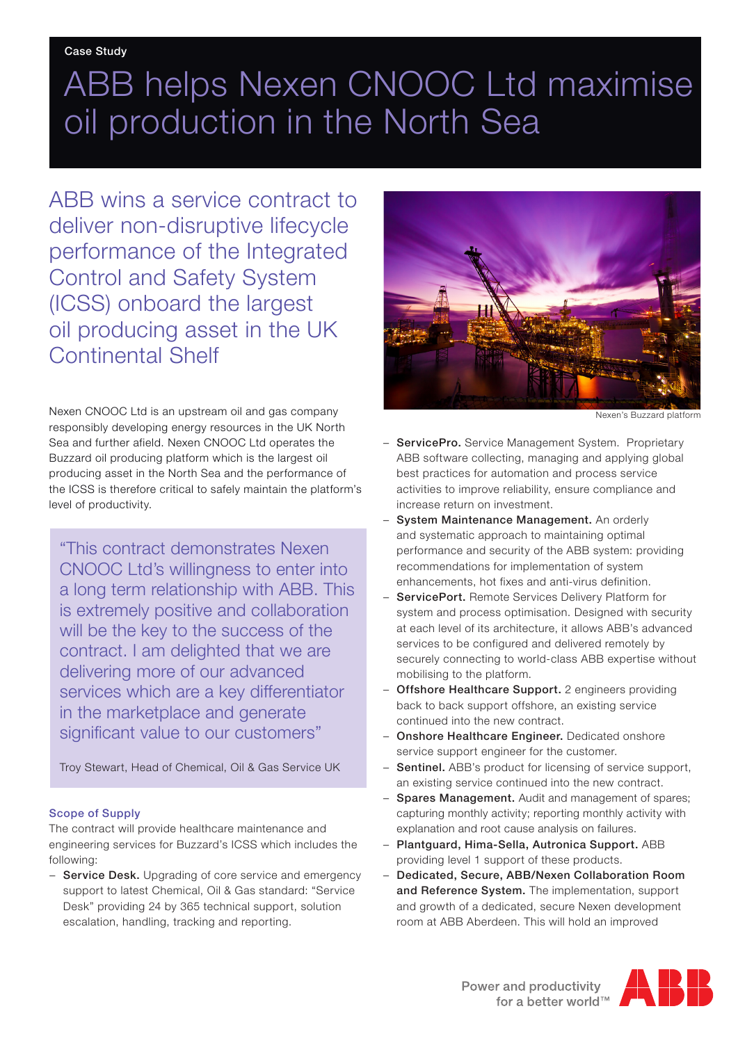## ABB helps Nexen CNOOC Ltd maximise oil production in the North Sea

ABB wins a service contract to deliver non-disruptive lifecycle performance of the Integrated Control and Safety System (ICSS) onboard the largest oil producing asset in the UK Continental Shelf

Nexen CNOOC Ltd is an upstream oil and gas company responsibly developing energy resources in the UK North Sea and further afield. Nexen CNOOC Ltd operates the Buzzard oil producing platform which is the largest oil producing asset in the North Sea and the performance of the ICSS is therefore critical to safely maintain the platform's level of productivity.

"This contract demonstrates Nexen CNOOC Ltd's willingness to enter into a long term relationship with ABB. This is extremely positive and collaboration will be the key to the success of the contract. I am delighted that we are delivering more of our advanced services which are a key differentiator in the marketplace and generate significant value to our customers"

Troy Stewart, Head of Chemical, Oil & Gas Service UK

## Scope of Supply

The contract will provide healthcare maintenance and engineering services for Buzzard's ICSS which includes the following:

− Service Desk. Upgrading of core service and emergency support to latest Chemical, Oil & Gas standard: "Service Desk" providing 24 by 365 technical support, solution escalation, handling, tracking and reporting.



Nexen's Buzzard platform

- ServicePro. Service Management System. Proprietary ABB software collecting, managing and applying global best practices for automation and process service activities to improve reliability, ensure compliance and increase return on investment.
- − System Maintenance Management. An orderly and systematic approach to maintaining optimal performance and security of the ABB system: providing recommendations for implementation of system enhancements, hot fixes and anti-virus definition.
- ServicePort. Remote Services Delivery Platform for system and process optimisation. Designed with security at each level of its architecture, it allows ABB's advanced services to be configured and delivered remotely by securely connecting to world-class ABB expertise without mobilising to the platform.
- − Offshore Healthcare Support. 2 engineers providing back to back support offshore, an existing service continued into the new contract.
- − Onshore Healthcare Engineer. Dedicated onshore service support engineer for the customer.
- − Sentinel. ABB's product for licensing of service support, an existing service continued into the new contract.
- Spares Management. Audit and management of spares; capturing monthly activity; reporting monthly activity with explanation and root cause analysis on failures.
- − Plantguard, Hima-Sella, Autronica Support. ABB providing level 1 support of these products.
- − Dedicated, Secure, ABB/Nexen Collaboration Room and Reference System. The implementation, support and growth of a dedicated, secure Nexen development room at ABB Aberdeen. This will hold an improved